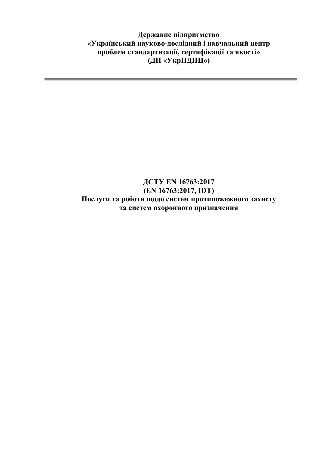**Державне підприємство «Український науково-дослідний і навчальний центр проблем стандартизації, сертифікації та якості» (ДП «УкрНДНЦ»)**

## **ДСТУ EN 16763:2017 (EN 16763:2017, IDТ) Послуги та роботи щодо систем протипожежного захисту та систем охоронного призначення**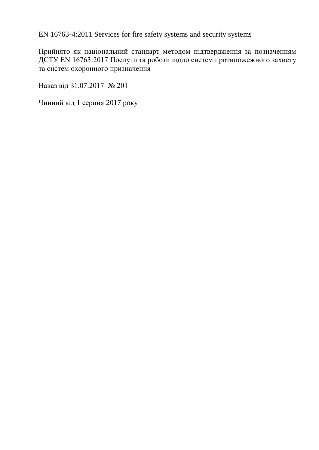EN 16763-4:2011 Services for fire safety systems and security systems

Прийнято як національний стандарт методом підтвердження за позначенням ДСТУ EN 16763:2017 Послуги та роботи щодо систем протипожежного захисту та систем охоронного призначення

Наказ від 31.07.2017 № 201

Чинний від 1 серпня 2017 року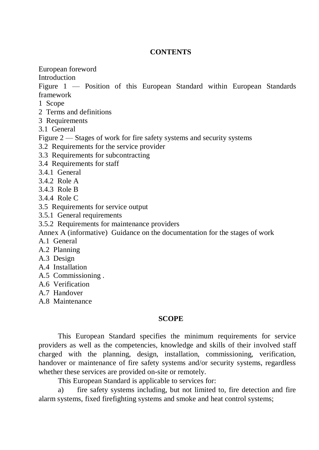## **CONTENTS**

European foreword

Introduction

Figure 1 — Position of this European Standard within European Standards framework

- 1 Scope
- 2 Terms and definitions
- 3 Requirements
- 3.1 General
- Figure 2 Stages of work for fire safety systems and security systems
- 3.2 Requirements for the service provider
- 3.3 Requirements for subcontracting
- 3.4 Requirements for staff
- 3.4.1 General
- 3.4.2 Role A
- 3.4.3 Role B
- 3.4.4 Role C
- 3.5 Requirements for service output
- 3.5.1 General requirements
- 3.5.2 Requirements for maintenance providers

Annex A (informative) Guidance on the documentation for the stages of work

- A.1 General
- A.2 Planning
- A.3 Design
- A.4 Installation
- A.5 Commissioning .
- A.6 Verification
- A.7 Handover
- A.8 Maintenance

## **SCOPE**

This European Standard specifies the minimum requirements for service providers as well as the competencies, knowledge and skills of their involved staff charged with the planning, design, installation, commissioning, verification, handover or maintenance of fire safety systems and/or security systems, regardless whether these services are provided on-site or remotely.

This European Standard is applicable to services for:

a) fire safety systems including, but not limited to, fire detection and fire alarm systems, fixed firefighting systems and smoke and heat control systems;